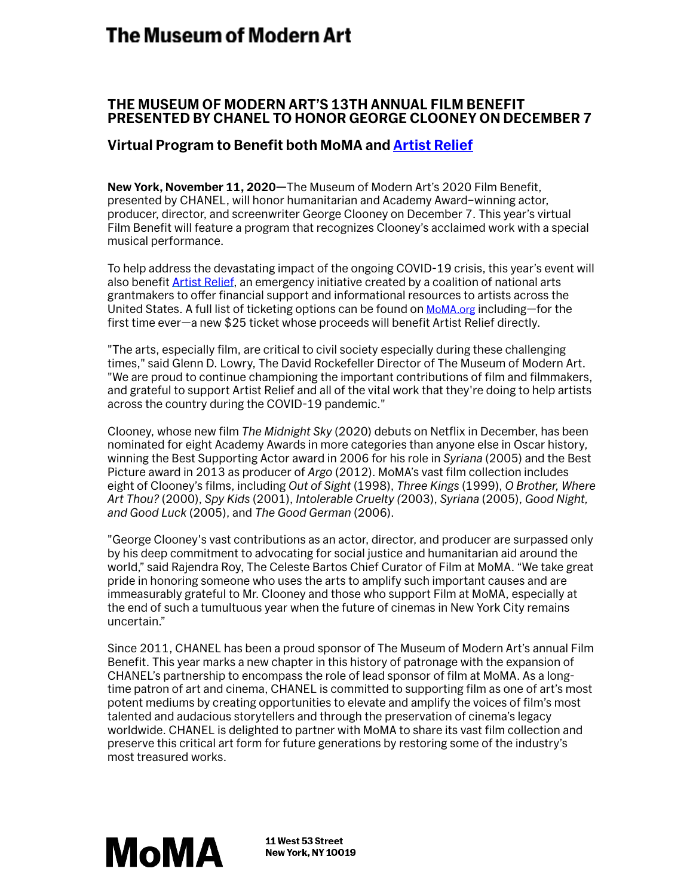## The Museum of Modern Art

## **THE MUSEUM OF MODERN ART'S 13TH ANNUAL FILM BENEFIT PRESENTED BY CHANEL TO HONOR GEORGE CLOONEY ON DECEMBER 7**

## **Virtual Program to Benefit both MoMA and [Artist Relief](https://www.artistrelief.org/)**

**New York, November 11, 2020—**The Museum of Modern Art's 2020 Film Benefit, presented by CHANEL, will honor humanitarian and Academy Award–winning actor, producer, director, and screenwriter George Clooney on December 7. This year's virtual Film Benefit will feature a program that recognizes Clooney's acclaimed work with a special musical performance.

To help address the devastating impact of the ongoing COVID-19 crisis, this year's event will also benefit [Artist Relief,](https://www.artistrelief.org/) an emergency initiative created by a coalition of national arts grantmakers to offer financial support and informational resources to artists across the United States. A full list of ticketing options can be found on [MoMA.org](https://www.moma.org/calendar/events/6758) including—for the first time ever—a new \$25 ticket whose proceeds will benefit Artist Relief directly.

"The arts, especially film, are critical to civil society especially during these challenging times," said Glenn D. Lowry, The David Rockefeller Director of The Museum of Modern Art. "We are proud to continue championing the important contributions of film and filmmakers, and grateful to support Artist Relief and all of the vital work that they're doing to help artists across the country during the COVID-19 pandemic."

Clooney, whose new film *The Midnight Sky* (2020) debuts on Netflix in December, has been nominated for eight Academy Awards in more categories than anyone else in Oscar history, winning the Best Supporting Actor award in 2006 for his role in *Syriana* (2005) and the Best Picture award in 2013 as producer of *Argo* (2012). MoMA's vast film collection includes eight of Clooney's films, including *Out of Sight* (1998), *Three Kings* (1999), *O Brother, Where Art Thou?* (2000), *Spy Kids* (2001), *Intolerable Cruelty (*2003), *Syriana* (2005), *Good Night, and Good Luck* (2005), and *The Good German* (2006).

"George Clooney's vast contributions as an actor, director, and producer are surpassed only by his deep commitment to advocating for social justice and humanitarian aid around the world," said Rajendra Roy, The Celeste Bartos Chief Curator of Film at MoMA. "We take great pride in honoring someone who uses the arts to amplify such important causes and are immeasurably grateful to Mr. Clooney and those who support Film at MoMA, especially at the end of such a tumultuous year when the future of cinemas in New York City remains uncertain."

Since 2011, CHANEL has been a proud sponsor of The Museum of Modern Art's annual Film Benefit. This year marks a new chapter in this history of patronage with the expansion of CHANEL's partnership to encompass the role of lead sponsor of film at MoMA. As a longtime patron of art and cinema, CHANEL is committed to supporting film as one of art's most potent mediums by creating opportunities to elevate and amplify the voices of film's most talented and audacious storytellers and through the preservation of cinema's legacy worldwide. CHANEL is delighted to partner with MoMA to share its vast film collection and preserve this critical art form for future generations by restoring some of the industry's most treasured works.



11 West 53 Street **New York, NY 10019**